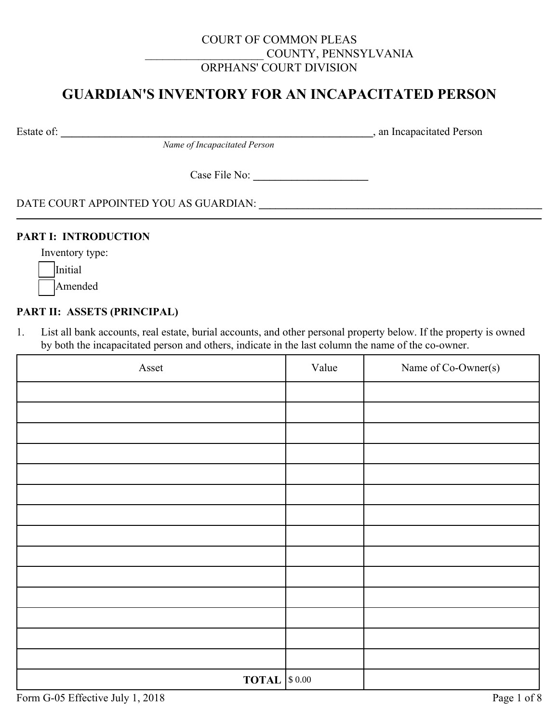## COURT OF COMMON PLEAS \_\_\_\_\_\_\_\_\_\_\_\_\_\_\_\_\_\_\_\_ COUNTY, PENNSYLVANIA ORPHANS' COURT DIVISION

# **GUARDIAN'S INVENTORY FOR AN INCAPACITATED PERSON**

Estate of: **\_\_\_\_\_\_\_\_\_\_\_\_\_\_\_\_\_\_\_\_\_\_\_\_\_\_\_\_\_\_\_\_\_\_\_\_\_\_\_\_\_\_\_\_\_\_\_\_\_\_\_\_\_\_\_\_\_**, an Incapacitated Person

*Name of Incapacitated Person*

Case File No: **\_\_\_\_\_\_\_\_\_\_\_\_\_\_\_\_\_\_\_\_\_**

DATE COURT APPOINTED YOU AS GUARDIAN: **\_\_\_\_\_\_\_\_\_\_\_\_\_\_\_\_\_\_\_\_\_\_\_\_\_\_\_\_\_\_\_\_\_\_\_\_\_\_\_\_\_\_\_\_\_\_\_\_\_\_\_\_**

#### **PART I: INTRODUCTION**

Inventory type:

**Initial** 

Amended

#### **PART II: ASSETS (PRINCIPAL)**

1. List all bank accounts, real estate, burial accounts, and other personal property below. If the property is owned by both the incapacitated person and others, indicate in the last column the name of the co-owner.

| Asset                        | Value | Name of Co-Owner(s) |
|------------------------------|-------|---------------------|
|                              |       |                     |
|                              |       |                     |
|                              |       |                     |
|                              |       |                     |
|                              |       |                     |
|                              |       |                     |
|                              |       |                     |
|                              |       |                     |
|                              |       |                     |
|                              |       |                     |
|                              |       |                     |
|                              |       |                     |
|                              |       |                     |
|                              |       |                     |
| <b>TOTAL</b> $\vert$ \$ 0.00 |       |                     |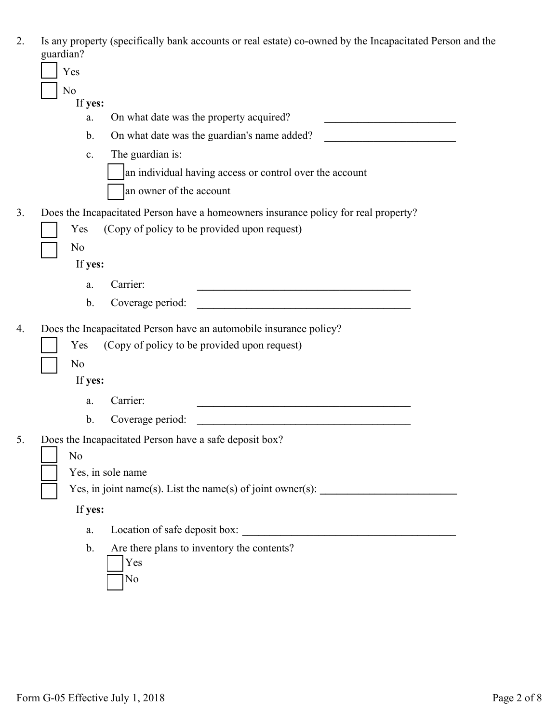| Is any property (specifically bank accounts or real estate) co-owned by the Incapacitated Person and the |
|----------------------------------------------------------------------------------------------------------|
| guardian?                                                                                                |

| guardian?      |                                                                                                                                     |
|----------------|-------------------------------------------------------------------------------------------------------------------------------------|
| Yes            |                                                                                                                                     |
| N <sub>o</sub> |                                                                                                                                     |
| If yes:<br>a.  | On what date was the property acquired?                                                                                             |
| b.             | On what date was the guardian's name added?                                                                                         |
| $\mathbf{c}$ . | The guardian is:                                                                                                                    |
|                | an individual having access or control over the account                                                                             |
|                | an owner of the account                                                                                                             |
|                |                                                                                                                                     |
| Yes            | Does the Incapacitated Person have a homeowners insurance policy for real property?<br>(Copy of policy to be provided upon request) |
| N <sub>0</sub> |                                                                                                                                     |
| If yes:        |                                                                                                                                     |
| a.             | Carrier:                                                                                                                            |
| b.             | Coverage period:                                                                                                                    |
|                |                                                                                                                                     |
|                | Does the Incapacitated Person have an automobile insurance policy?                                                                  |
| Yes            | (Copy of policy to be provided upon request)                                                                                        |
| N <sub>0</sub> |                                                                                                                                     |
| If yes:        |                                                                                                                                     |
| a.             | Carrier:                                                                                                                            |
| b.             | Coverage period:                                                                                                                    |
|                | Does the Incapacitated Person have a safe deposit box?                                                                              |
| No             |                                                                                                                                     |
|                | Yes, in sole name                                                                                                                   |
|                | Yes, in joint name(s). List the name(s) of joint owner(s): _____________________                                                    |
|                |                                                                                                                                     |
| If yes:        |                                                                                                                                     |
| a.             | Location of safe deposit box:                                                                                                       |
| b.             | Are there plans to inventory the contents?                                                                                          |
|                | Yes                                                                                                                                 |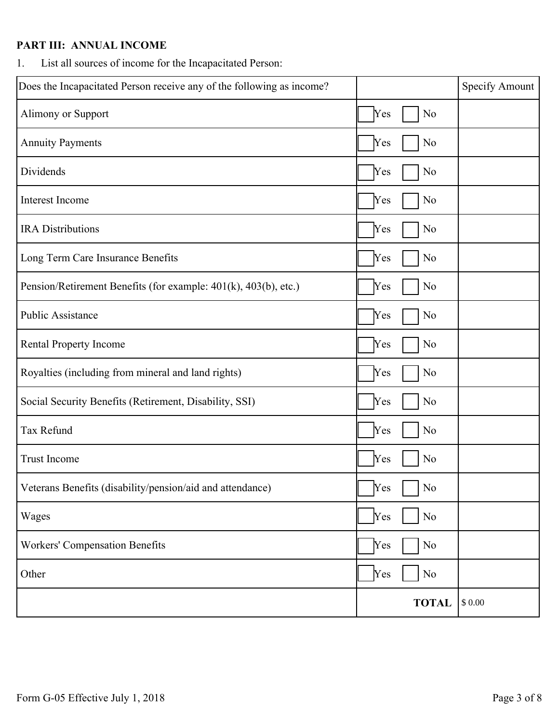## **PART III: ANNUAL INCOME**

1. List all sources of income for the Incapacitated Person:

| Does the Incapacitated Person receive any of the following as income? |                       | Specify Amount |
|-----------------------------------------------------------------------|-----------------------|----------------|
| Alimony or Support                                                    | Yes<br>N <sub>0</sub> |                |
| <b>Annuity Payments</b>                                               | N <sub>0</sub><br>Yes |                |
| Dividends                                                             | N <sub>o</sub><br>Yes |                |
| Interest Income                                                       | N <sub>o</sub><br>Yes |                |
| <b>IRA</b> Distributions                                              | Yes<br>N <sub>0</sub> |                |
| Long Term Care Insurance Benefits                                     | N <sub>0</sub><br>Yes |                |
| Pension/Retirement Benefits (for example: 401(k), 403(b), etc.)       | Yes<br>N <sub>0</sub> |                |
| <b>Public Assistance</b>                                              | N <sub>0</sub><br>Yes |                |
| Rental Property Income                                                | N <sub>o</sub><br>Yes |                |
| Royalties (including from mineral and land rights)                    | No<br>Yes             |                |
| Social Security Benefits (Retirement, Disability, SSI)                | Yes<br>N <sub>0</sub> |                |
| Tax Refund                                                            | $\rm No$<br>Yes       |                |
| <b>Trust Income</b>                                                   | Yes<br>N <sub>0</sub> |                |
| Veterans Benefits (disability/pension/aid and attendance)             | Yes<br>$\log$         |                |
| Wages                                                                 | Yes<br>No             |                |
| <b>Workers' Compensation Benefits</b>                                 | Yes<br>No             |                |
| Other                                                                 | Yes<br>No             |                |
|                                                                       | <b>TOTAL</b>          | $\$$ $0.00$    |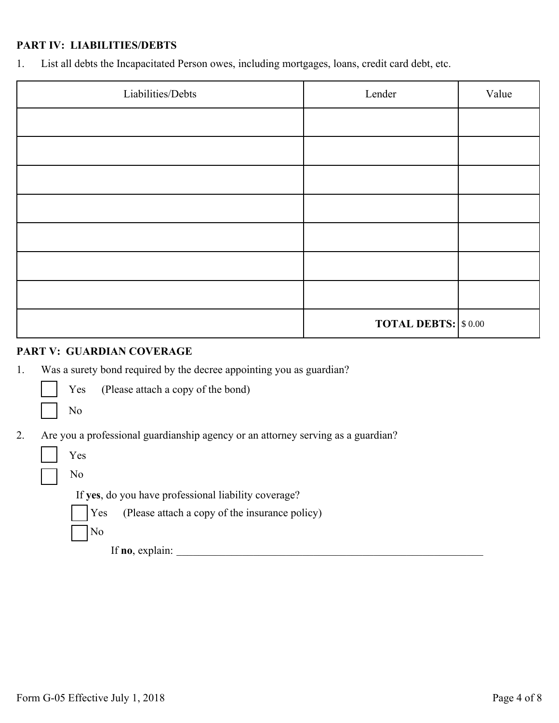### **PART IV: LIABILITIES/DEBTS**

1. List all debts the Incapacitated Person owes, including mortgages, loans, credit card debt, etc.

| Liabilities/Debts | Lender                     | Value |
|-------------------|----------------------------|-------|
|                   |                            |       |
|                   |                            |       |
|                   |                            |       |
|                   |                            |       |
|                   |                            |       |
|                   |                            |       |
|                   |                            |       |
|                   | <b>TOTAL DEBTS: \$0.00</b> |       |

#### **PART V: GUARDIAN COVERAGE**

1. Was a surety bond required by the decree appointing you as guardian?

Yes (Please attach a copy of the bond)

¨ No

2. Are you a professional guardianship agency or an attorney serving as a guardian?

|  | ×<br>۰, |
|--|---------|
|--|---------|

¨

¨

No

If **yes**, do you have professional liability coverage?



¨ No

If **no**, explain:  $\frac{1}{2}$  **let**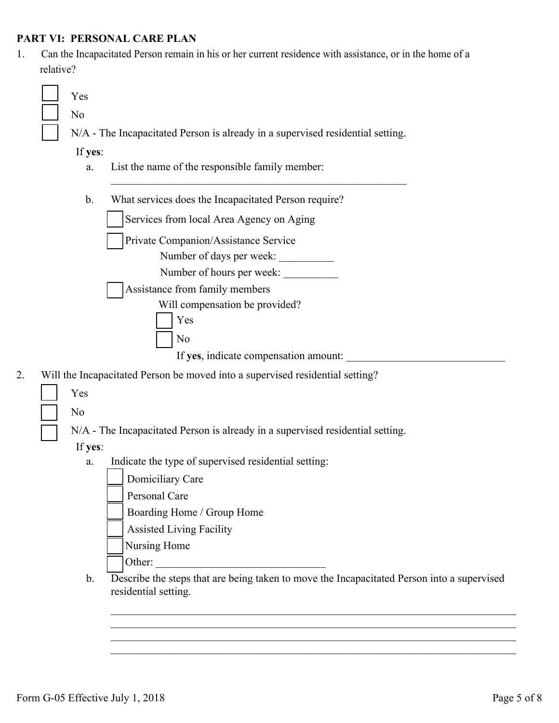## **PART VI: PERSONAL CARE PLAN**

1. Can the Incapacitated Person remain in his or her current residence with assistance, or in the home of a relative?

|    | Yes<br>N <sub>0</sub> |                                                                                                                    |
|----|-----------------------|--------------------------------------------------------------------------------------------------------------------|
|    |                       | N/A - The Incapacitated Person is already in a supervised residential setting.                                     |
|    | If yes:               |                                                                                                                    |
|    | a.                    | List the name of the responsible family member:                                                                    |
|    |                       |                                                                                                                    |
|    | b.                    | What services does the Incapacitated Person require?                                                               |
|    |                       | Services from local Area Agency on Aging                                                                           |
|    |                       | Private Companion/Assistance Service                                                                               |
|    |                       | Number of days per week:                                                                                           |
|    |                       | Number of hours per week:                                                                                          |
|    |                       | Assistance from family members                                                                                     |
|    |                       | Will compensation be provided?                                                                                     |
|    |                       | Yes                                                                                                                |
|    |                       | N <sub>0</sub>                                                                                                     |
|    |                       | If yes, indicate compensation amount:                                                                              |
| 2. |                       | Will the Incapacitated Person be moved into a supervised residential setting?                                      |
|    | Yes                   |                                                                                                                    |
|    | N <sub>0</sub>        |                                                                                                                    |
|    |                       | N/A - The Incapacitated Person is already in a supervised residential setting.                                     |
|    | If yes:               |                                                                                                                    |
|    | a.                    | Indicate the type of supervised residential setting:                                                               |
|    |                       | Domiciliary Care                                                                                                   |
|    |                       | Personal Care                                                                                                      |
|    |                       | Boarding Home / Group Home                                                                                         |
|    |                       | <b>Assisted Living Facility</b>                                                                                    |
|    |                       | Nursing Home                                                                                                       |
|    |                       | Other:                                                                                                             |
|    | $\mathbf{b}$ .        | Describe the steps that are being taken to move the Incapacitated Person into a supervised<br>residential setting. |
|    |                       |                                                                                                                    |

 $\mathcal{L}_\text{max}$  , and the contribution of the contribution of the contribution of the contribution of the contribution of the contribution of the contribution of the contribution of the contribution of the contribution of t  $\mathcal{L}_\text{max}$  , and the contribution of the contribution of the contribution of the contribution of the contribution of the contribution of the contribution of the contribution of the contribution of the contribution of t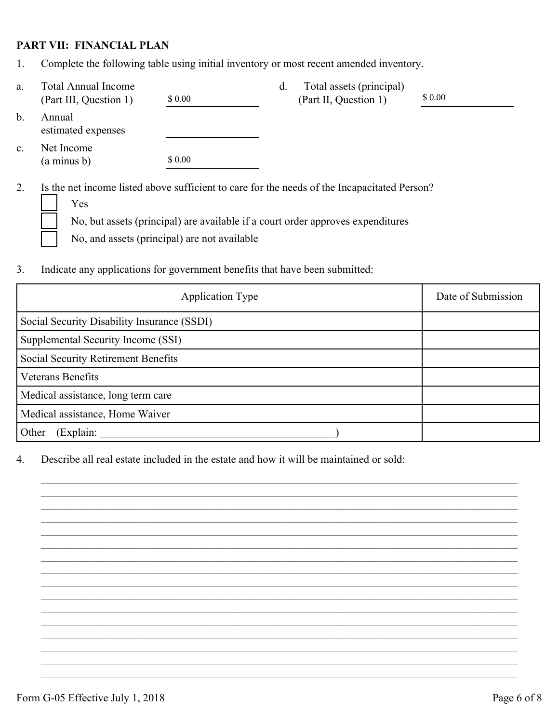#### **PART VII: FINANCIAL PLAN**

1. Complete the following table using initial inventory or most recent amended inventory.

| a.             | <b>Total Annual Income</b><br>(Part III, Question 1)                                                | \$ 0.00                                      | d. | Total assets (principal)<br>(Part II, Question 1)                               | \$ 0.00 |
|----------------|-----------------------------------------------------------------------------------------------------|----------------------------------------------|----|---------------------------------------------------------------------------------|---------|
| $b$ .          | Annual<br>estimated expenses                                                                        |                                              |    |                                                                                 |         |
| $\mathbf{c}$ . | Net Income<br>$(a \text{ minus } b)$                                                                | \$0.00                                       |    |                                                                                 |         |
| 2.             | Is the net income listed above sufficient to care for the needs of the Incapacitated Person?<br>Yes | No, and assets (principal) are not available |    | No, but assets (principal) are available if a court order approves expenditures |         |

3. Indicate any applications for government benefits that have been submitted:

| <b>Application Type</b>                     | Date of Submission |  |
|---------------------------------------------|--------------------|--|
| Social Security Disability Insurance (SSDI) |                    |  |
| Supplemental Security Income (SSI)          |                    |  |
| Social Security Retirement Benefits         |                    |  |
| Veterans Benefits                           |                    |  |
| Medical assistance, long term care          |                    |  |
| Medical assistance, Home Waiver             |                    |  |
| (Explain:<br>Other                          |                    |  |

 $\mathcal{L}_\mathcal{L} = \{ \mathcal{L}_\mathcal{L} = \{ \mathcal{L}_\mathcal{L} = \{ \mathcal{L}_\mathcal{L} = \{ \mathcal{L}_\mathcal{L} = \{ \mathcal{L}_\mathcal{L} = \{ \mathcal{L}_\mathcal{L} = \{ \mathcal{L}_\mathcal{L} = \{ \mathcal{L}_\mathcal{L} = \{ \mathcal{L}_\mathcal{L} = \{ \mathcal{L}_\mathcal{L} = \{ \mathcal{L}_\mathcal{L} = \{ \mathcal{L}_\mathcal{L} = \{ \mathcal{L}_\mathcal{L} = \{ \mathcal{L}_\mathcal{$  $\mathcal{L}_\mathcal{L} = \{ \mathcal{L}_\mathcal{L} = \{ \mathcal{L}_\mathcal{L} = \{ \mathcal{L}_\mathcal{L} = \{ \mathcal{L}_\mathcal{L} = \{ \mathcal{L}_\mathcal{L} = \{ \mathcal{L}_\mathcal{L} = \{ \mathcal{L}_\mathcal{L} = \{ \mathcal{L}_\mathcal{L} = \{ \mathcal{L}_\mathcal{L} = \{ \mathcal{L}_\mathcal{L} = \{ \mathcal{L}_\mathcal{L} = \{ \mathcal{L}_\mathcal{L} = \{ \mathcal{L}_\mathcal{L} = \{ \mathcal{L}_\mathcal{$  $\mathcal{L}_\mathcal{L} = \{ \mathcal{L}_\mathcal{L} = \{ \mathcal{L}_\mathcal{L} = \{ \mathcal{L}_\mathcal{L} = \{ \mathcal{L}_\mathcal{L} = \{ \mathcal{L}_\mathcal{L} = \{ \mathcal{L}_\mathcal{L} = \{ \mathcal{L}_\mathcal{L} = \{ \mathcal{L}_\mathcal{L} = \{ \mathcal{L}_\mathcal{L} = \{ \mathcal{L}_\mathcal{L} = \{ \mathcal{L}_\mathcal{L} = \{ \mathcal{L}_\mathcal{L} = \{ \mathcal{L}_\mathcal{L} = \{ \mathcal{L}_\mathcal{$  $\mathcal{L}_\mathcal{L} = \{ \mathcal{L}_\mathcal{L} = \{ \mathcal{L}_\mathcal{L} = \{ \mathcal{L}_\mathcal{L} = \{ \mathcal{L}_\mathcal{L} = \{ \mathcal{L}_\mathcal{L} = \{ \mathcal{L}_\mathcal{L} = \{ \mathcal{L}_\mathcal{L} = \{ \mathcal{L}_\mathcal{L} = \{ \mathcal{L}_\mathcal{L} = \{ \mathcal{L}_\mathcal{L} = \{ \mathcal{L}_\mathcal{L} = \{ \mathcal{L}_\mathcal{L} = \{ \mathcal{L}_\mathcal{L} = \{ \mathcal{L}_\mathcal{$  $\mathcal{L}_\mathcal{L} = \{ \mathcal{L}_\mathcal{L} = \{ \mathcal{L}_\mathcal{L} = \{ \mathcal{L}_\mathcal{L} = \{ \mathcal{L}_\mathcal{L} = \{ \mathcal{L}_\mathcal{L} = \{ \mathcal{L}_\mathcal{L} = \{ \mathcal{L}_\mathcal{L} = \{ \mathcal{L}_\mathcal{L} = \{ \mathcal{L}_\mathcal{L} = \{ \mathcal{L}_\mathcal{L} = \{ \mathcal{L}_\mathcal{L} = \{ \mathcal{L}_\mathcal{L} = \{ \mathcal{L}_\mathcal{L} = \{ \mathcal{L}_\mathcal{$  $\mathcal{L}_\mathcal{L} = \{ \mathcal{L}_\mathcal{L} = \{ \mathcal{L}_\mathcal{L} = \{ \mathcal{L}_\mathcal{L} = \{ \mathcal{L}_\mathcal{L} = \{ \mathcal{L}_\mathcal{L} = \{ \mathcal{L}_\mathcal{L} = \{ \mathcal{L}_\mathcal{L} = \{ \mathcal{L}_\mathcal{L} = \{ \mathcal{L}_\mathcal{L} = \{ \mathcal{L}_\mathcal{L} = \{ \mathcal{L}_\mathcal{L} = \{ \mathcal{L}_\mathcal{L} = \{ \mathcal{L}_\mathcal{L} = \{ \mathcal{L}_\mathcal{$  $\mathcal{L}_\mathcal{L} = \{ \mathcal{L}_\mathcal{L} = \{ \mathcal{L}_\mathcal{L} = \{ \mathcal{L}_\mathcal{L} = \{ \mathcal{L}_\mathcal{L} = \{ \mathcal{L}_\mathcal{L} = \{ \mathcal{L}_\mathcal{L} = \{ \mathcal{L}_\mathcal{L} = \{ \mathcal{L}_\mathcal{L} = \{ \mathcal{L}_\mathcal{L} = \{ \mathcal{L}_\mathcal{L} = \{ \mathcal{L}_\mathcal{L} = \{ \mathcal{L}_\mathcal{L} = \{ \mathcal{L}_\mathcal{L} = \{ \mathcal{L}_\mathcal{$  $\mathcal{L}_\mathcal{L} = \{ \mathcal{L}_\mathcal{L} = \{ \mathcal{L}_\mathcal{L} = \{ \mathcal{L}_\mathcal{L} = \{ \mathcal{L}_\mathcal{L} = \{ \mathcal{L}_\mathcal{L} = \{ \mathcal{L}_\mathcal{L} = \{ \mathcal{L}_\mathcal{L} = \{ \mathcal{L}_\mathcal{L} = \{ \mathcal{L}_\mathcal{L} = \{ \mathcal{L}_\mathcal{L} = \{ \mathcal{L}_\mathcal{L} = \{ \mathcal{L}_\mathcal{L} = \{ \mathcal{L}_\mathcal{L} = \{ \mathcal{L}_\mathcal{$  $\mathcal{L}_\mathcal{L} = \{ \mathcal{L}_\mathcal{L} = \{ \mathcal{L}_\mathcal{L} = \{ \mathcal{L}_\mathcal{L} = \{ \mathcal{L}_\mathcal{L} = \{ \mathcal{L}_\mathcal{L} = \{ \mathcal{L}_\mathcal{L} = \{ \mathcal{L}_\mathcal{L} = \{ \mathcal{L}_\mathcal{L} = \{ \mathcal{L}_\mathcal{L} = \{ \mathcal{L}_\mathcal{L} = \{ \mathcal{L}_\mathcal{L} = \{ \mathcal{L}_\mathcal{L} = \{ \mathcal{L}_\mathcal{L} = \{ \mathcal{L}_\mathcal{$  $\mathcal{L}_\mathcal{L} = \{ \mathcal{L}_\mathcal{L} = \{ \mathcal{L}_\mathcal{L} = \{ \mathcal{L}_\mathcal{L} = \{ \mathcal{L}_\mathcal{L} = \{ \mathcal{L}_\mathcal{L} = \{ \mathcal{L}_\mathcal{L} = \{ \mathcal{L}_\mathcal{L} = \{ \mathcal{L}_\mathcal{L} = \{ \mathcal{L}_\mathcal{L} = \{ \mathcal{L}_\mathcal{L} = \{ \mathcal{L}_\mathcal{L} = \{ \mathcal{L}_\mathcal{L} = \{ \mathcal{L}_\mathcal{L} = \{ \mathcal{L}_\mathcal{$  $\mathcal{L}_\mathcal{L} = \{ \mathcal{L}_\mathcal{L} = \{ \mathcal{L}_\mathcal{L} = \{ \mathcal{L}_\mathcal{L} = \{ \mathcal{L}_\mathcal{L} = \{ \mathcal{L}_\mathcal{L} = \{ \mathcal{L}_\mathcal{L} = \{ \mathcal{L}_\mathcal{L} = \{ \mathcal{L}_\mathcal{L} = \{ \mathcal{L}_\mathcal{L} = \{ \mathcal{L}_\mathcal{L} = \{ \mathcal{L}_\mathcal{L} = \{ \mathcal{L}_\mathcal{L} = \{ \mathcal{L}_\mathcal{L} = \{ \mathcal{L}_\mathcal{$  $\mathcal{L}_\mathcal{L} = \{ \mathcal{L}_\mathcal{L} = \{ \mathcal{L}_\mathcal{L} = \{ \mathcal{L}_\mathcal{L} = \{ \mathcal{L}_\mathcal{L} = \{ \mathcal{L}_\mathcal{L} = \{ \mathcal{L}_\mathcal{L} = \{ \mathcal{L}_\mathcal{L} = \{ \mathcal{L}_\mathcal{L} = \{ \mathcal{L}_\mathcal{L} = \{ \mathcal{L}_\mathcal{L} = \{ \mathcal{L}_\mathcal{L} = \{ \mathcal{L}_\mathcal{L} = \{ \mathcal{L}_\mathcal{L} = \{ \mathcal{L}_\mathcal{$  $\mathcal{L}_\mathcal{L} = \{ \mathcal{L}_\mathcal{L} = \{ \mathcal{L}_\mathcal{L} = \{ \mathcal{L}_\mathcal{L} = \{ \mathcal{L}_\mathcal{L} = \{ \mathcal{L}_\mathcal{L} = \{ \mathcal{L}_\mathcal{L} = \{ \mathcal{L}_\mathcal{L} = \{ \mathcal{L}_\mathcal{L} = \{ \mathcal{L}_\mathcal{L} = \{ \mathcal{L}_\mathcal{L} = \{ \mathcal{L}_\mathcal{L} = \{ \mathcal{L}_\mathcal{L} = \{ \mathcal{L}_\mathcal{L} = \{ \mathcal{L}_\mathcal{$  $\mathcal{L}_\mathcal{L} = \{ \mathcal{L}_\mathcal{L} = \{ \mathcal{L}_\mathcal{L} = \{ \mathcal{L}_\mathcal{L} = \{ \mathcal{L}_\mathcal{L} = \{ \mathcal{L}_\mathcal{L} = \{ \mathcal{L}_\mathcal{L} = \{ \mathcal{L}_\mathcal{L} = \{ \mathcal{L}_\mathcal{L} = \{ \mathcal{L}_\mathcal{L} = \{ \mathcal{L}_\mathcal{L} = \{ \mathcal{L}_\mathcal{L} = \{ \mathcal{L}_\mathcal{L} = \{ \mathcal{L}_\mathcal{L} = \{ \mathcal{L}_\mathcal{$  $\mathcal{L}_\mathcal{L} = \{ \mathcal{L}_\mathcal{L} = \{ \mathcal{L}_\mathcal{L} = \{ \mathcal{L}_\mathcal{L} = \{ \mathcal{L}_\mathcal{L} = \{ \mathcal{L}_\mathcal{L} = \{ \mathcal{L}_\mathcal{L} = \{ \mathcal{L}_\mathcal{L} = \{ \mathcal{L}_\mathcal{L} = \{ \mathcal{L}_\mathcal{L} = \{ \mathcal{L}_\mathcal{L} = \{ \mathcal{L}_\mathcal{L} = \{ \mathcal{L}_\mathcal{L} = \{ \mathcal{L}_\mathcal{L} = \{ \mathcal{L}_\mathcal{$  $\mathcal{L}_\mathcal{L} = \{ \mathcal{L}_\mathcal{L} = \{ \mathcal{L}_\mathcal{L} = \{ \mathcal{L}_\mathcal{L} = \{ \mathcal{L}_\mathcal{L} = \{ \mathcal{L}_\mathcal{L} = \{ \mathcal{L}_\mathcal{L} = \{ \mathcal{L}_\mathcal{L} = \{ \mathcal{L}_\mathcal{L} = \{ \mathcal{L}_\mathcal{L} = \{ \mathcal{L}_\mathcal{L} = \{ \mathcal{L}_\mathcal{L} = \{ \mathcal{L}_\mathcal{L} = \{ \mathcal{L}_\mathcal{L} = \{ \mathcal{L}_\mathcal{$ 

4. Describe all real estate included in the estate and how it will be maintained or sold: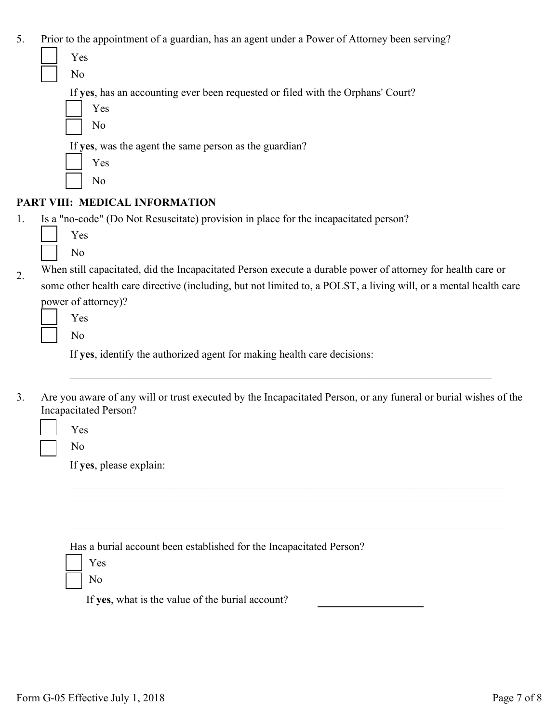| 5. | Prior to the appointment of a guardian, has an agent under a Power of Attorney been serving?                     |
|----|------------------------------------------------------------------------------------------------------------------|
|    | Yes                                                                                                              |
|    | No                                                                                                               |
|    | If yes, has an accounting ever been requested or filed with the Orphans' Court?                                  |
|    | Yes                                                                                                              |
|    | N <sub>0</sub>                                                                                                   |
|    | If yes, was the agent the same person as the guardian?                                                           |
|    | Yes                                                                                                              |
|    | N <sub>0</sub>                                                                                                   |
|    | PART VIII: MEDICAL INFORMATION                                                                                   |
| 1. | Is a "no-code" (Do Not Resuscitate) provision in place for the incapacitated person?                             |
|    | Yes                                                                                                              |
|    | N <sub>0</sub>                                                                                                   |
| 2. | When still capacitated, did the Incapacitated Person execute a durable power of attorney for health care or      |
|    | some other health care directive (including, but not limited to, a POLST, a living will, or a mental health care |
|    | power of attorney)?                                                                                              |
|    | Yes                                                                                                              |
|    | N <sub>o</sub>                                                                                                   |
|    | If yes, identify the authorized agent for making health care decisions:                                          |
|    |                                                                                                                  |
| 3. | Are you aware of any will or trust executed by the Incapacitated Person, or any funeral or burial wishes of the  |
|    | <b>Incapacitated Person?</b>                                                                                     |
|    | Yes                                                                                                              |
|    | N <sub>0</sub>                                                                                                   |
|    | If yes, please explain:                                                                                          |
|    |                                                                                                                  |
|    |                                                                                                                  |
|    |                                                                                                                  |
|    |                                                                                                                  |
|    | Has a burial account been established for the Incapacitated Person?                                              |
|    | Yes                                                                                                              |
|    | N <sub>0</sub>                                                                                                   |
|    | If yes, what is the value of the burial account?                                                                 |
|    |                                                                                                                  |